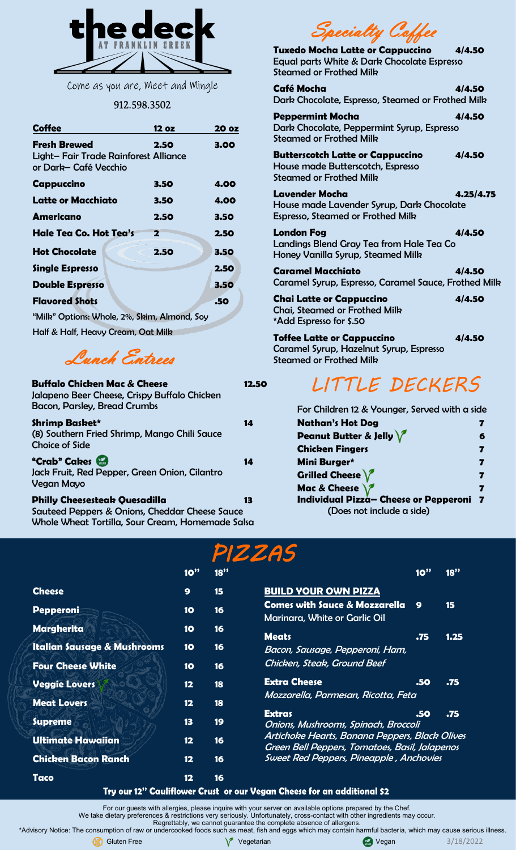

Come as you are, Meet and Mingle

#### 912.598.3502

| <b>Coffee</b>                                                                        | 12 oz                   | 20 oz |
|--------------------------------------------------------------------------------------|-------------------------|-------|
| <b>Fresh Brewed</b><br>Light-Fair Trade Rainforest Alliance<br>or Dark— Café Vecchio | 2.50                    | 3.00  |
| Cappuccino                                                                           | 3.50                    | 4.00  |
| Latte or Macchiato                                                                   | 3.50                    | 4.00  |
| Americano                                                                            | 2.50                    | 3.50  |
| Hale Tea Co. Hot Tea's                                                               | $\overline{\mathbf{2}}$ | 2.50  |
| <b>Hot Chocolate</b>                                                                 | 2.50                    | 3.50  |
| <b>Single Espresso</b>                                                               |                         | 2.50  |
| <b>Double Espresso</b>                                                               |                         | 3.50  |
| <b>Flavored Shots</b>                                                                |                         | .50   |

"Milk" Options: Whole, 2%, Skim, Almond, Soy

Half & Half, Heavy Cream, Oat Milk

#### Lunch Entrees

| <b>Buffalo Chicken Mac &amp; Cheese</b><br>Jalapeno Beer Cheese, Crispy Buffalo Chicken<br><b>Bacon, Parsley, Bread Crumbs</b>             | 12.50 |
|--------------------------------------------------------------------------------------------------------------------------------------------|-------|
| Shrimp Basket*<br>(8) Southern Fried Shrimp, Mango Chili Sauce<br>Choice of Side                                                           | 14    |
| "Crab" Cakes<br>Jack Fruit, Red Pepper, Green Onion, Cilantro<br>Vegan Mayo                                                                | 14    |
| <b>Philly Cheesesteak Quesadilla</b><br>Sauteed Peppers & Onions, Cheddar Cheese Sauce<br>Whole Wheat Tortilla, Sour Cream, Homemade Salsa | 13    |

# Specialty Coffee

| Tuxedo Mocha Latte or Cappuccino<br>Equal parts White & Dark Chocolate Espresso<br><b>Steamed or Frothed Milk</b> | 4/4.50    |
|-------------------------------------------------------------------------------------------------------------------|-----------|
| Café Mocha<br>Dark Chocolate, Espresso, Steamed or Frothed Milk                                                   | 4/4.50    |
| <b>Peppermint Mocha</b><br>Dark Chocolate, Peppermint Syrup, Espresso<br><b>Steamed or Frothed Milk</b>           | 4/4.50    |
| <b>Butterscotch Latte or Cappuccino</b><br>House made Butterscotch, Espresso<br><b>Steamed or Frothed Milk</b>    | 4/4.50    |
| Lavender Mocha<br>House made Lavender Syrup, Dark Chocolate<br><b>Espresso, Steamed or Frothed Milk</b>           | 4.25/4.75 |
| <b>London Fog</b><br>Landings Blend Gray Tea from Hale Tea Co<br>Honey Vanilla Syrup, Steamed Milk                | 4/4.50    |
| Caramel Macchiato<br>Caramel Syrup, Espresso, Caramel Sauce, Frothed Milk                                         | 4/4.50    |
| Chai Latte or Cappuccino<br><b>Chai, Steamed or Frothed Milk</b><br>*Add Espresso for \$.50                       | 4/4.50    |
| Toffee Latte or Cappuccino<br>Caramel Syrup, Hazelnut Syrup, Espresso<br><b>Steamed or Frothed Milk</b>           | 4/4.50    |

#### *LITTLE DECKERS*

| For Children 12 & Younger, Served with a side |   |
|-----------------------------------------------|---|
| <b>Nathan's Hot Dog</b>                       |   |
| Peanut Butter & Jelly $\sqrt{\ }$             | 6 |
| <b>Chicken Fingers</b>                        |   |
| Mini Burger*                                  |   |
| Grilled Cheese $\sqrt{\ }$                    |   |
| Mac & Cheese $\sqrt{\phantom{a}}$             |   |
| Individual Pizza- Cheese or Pepperoni 7       |   |
| (Does not include a side)                     |   |

#### *PIZZAS*

|                                        | 10" | 18'' |                                                                                                  | 10" | 18'' |
|----------------------------------------|-----|------|--------------------------------------------------------------------------------------------------|-----|------|
| <b>Cheese</b>                          | 9   | 15   | <b>BUILD YOUR OWN PIZZA</b>                                                                      |     |      |
| <b>Pepperoni</b>                       | 10  | 16   | <b>Comes with Sauce &amp; Mozzarella</b><br><b>Marinara, White or Garlic Oil</b>                 | 9   | 15   |
| <b>Margherita</b>                      | 10  | 16   | <b>Meats</b>                                                                                     | .75 | 1.25 |
| <b>Italian Sausage &amp; Mushrooms</b> | 10  | 16   | Bacon, Sausage, Pepperoni, Ham,                                                                  |     |      |
| <b>Four Cheese White</b>               | 10  | 16   | Chicken, Steak, Ground Beef                                                                      |     |      |
| <b>Veggie Lovers</b>                   | 12  | 18   | <b>Extra Cheese</b>                                                                              | .50 | .75  |
| <b>Meat Lovers</b>                     | 12  | 18   | Mozzarella, Parmesan, Ricotta, Feta                                                              |     |      |
| <b>Supreme</b>                         | 13  | 19   | <b>Extras</b><br>Onions, Mushrooms, Spinach, Broccoli                                            | .50 | .75  |
| <b>Ultimate Hawaiian</b>               | 12  | 16   | Artichoke Hearts, Banana Peppers, Black Olives<br>Green Bell Peppers, Tomatoes, Basil, Jalapenos |     |      |
| <b>Chicken Bacon Ranch</b>             | 12  | 16   | <b>Sweet Red Peppers, Pineapple, Anchovies</b>                                                   |     |      |
| Taco                                   | 12  | 16   |                                                                                                  |     |      |

Try our 12" Cauliflower Crust or our Vegan Cheese for an additional \$2

For our guests with allergies, please inquire with your server on available options prepared by the Chef.

We take dietary preferences & restrictions very seriously. Unfortunately, cross-contact with other ingredients may occur.

Regrettably, we cannot guarantee the complete absence of allergens. \*Advisory Notice: The consumption of raw or undercooked foods such as meat, fish and eggs which may contain harmful bacteria, which may cause serious illness.

Gluten Free  $\bigvee$  Vegetarian  $\bigvee$  Vegetarian Vegan